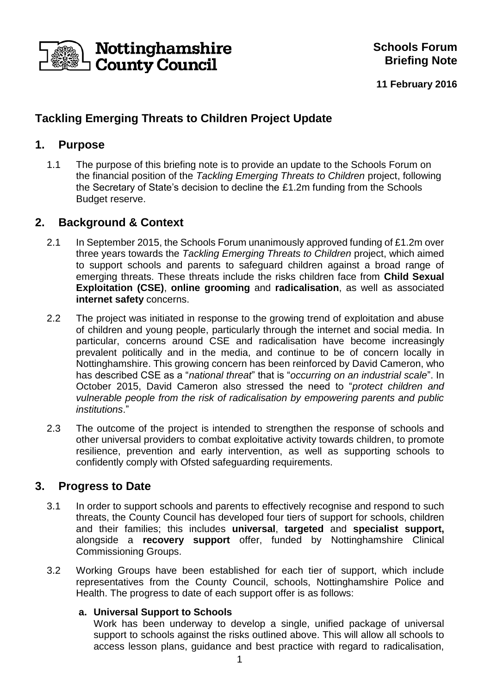

**11 February 2016**

# **Tackling Emerging Threats to Children Project Update**

### **1. Purpose**

1.1 The purpose of this briefing note is to provide an update to the Schools Forum on the financial position of the *Tackling Emerging Threats to Children* project, following the Secretary of State's decision to decline the £1.2m funding from the Schools Budget reserve.

# **2. Background & Context**

- 2.1 In September 2015, the Schools Forum unanimously approved funding of £1.2m over three years towards the *Tackling Emerging Threats to Children* project, which aimed to support schools and parents to safeguard children against a broad range of emerging threats. These threats include the risks children face from **Child Sexual Exploitation (CSE)**, **online grooming** and **radicalisation**, as well as associated **internet safety** concerns.
- 2.2 The project was initiated in response to the growing trend of exploitation and abuse of children and young people, particularly through the internet and social media. In particular, concerns around CSE and radicalisation have become increasingly prevalent politically and in the media, and continue to be of concern locally in Nottinghamshire. This growing concern has been reinforced by David Cameron, who has described CSE as a "*national threat*" that is "*occurring on an industrial scale*". In October 2015, David Cameron also stressed the need to "*protect children and vulnerable people from the risk of radicalisation by empowering parents and public institutions*."
- 2.3 The outcome of the project is intended to strengthen the response of schools and other universal providers to combat exploitative activity towards children, to promote resilience, prevention and early intervention, as well as supporting schools to confidently comply with Ofsted safeguarding requirements.

### **3. Progress to Date**

- 3.1 In order to support schools and parents to effectively recognise and respond to such threats, the County Council has developed four tiers of support for schools, children and their families; this includes **universal**, **targeted** and **specialist support,** alongside a **recovery support** offer, funded by Nottinghamshire Clinical Commissioning Groups.
- 3.2 Working Groups have been established for each tier of support, which include representatives from the County Council, schools, Nottinghamshire Police and Health. The progress to date of each support offer is as follows:

#### **a. Universal Support to Schools**

Work has been underway to develop a single, unified package of universal support to schools against the risks outlined above. This will allow all schools to access lesson plans, guidance and best practice with regard to radicalisation,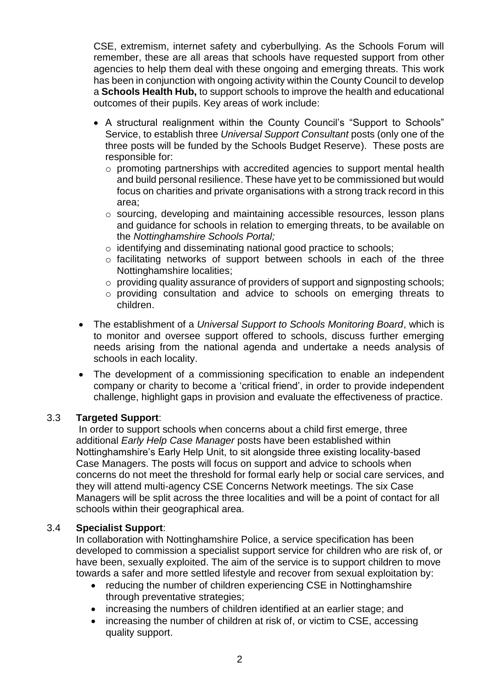CSE, extremism, internet safety and cyberbullying. As the Schools Forum will remember, these are all areas that schools have requested support from other agencies to help them deal with these ongoing and emerging threats. This work has been in conjunction with ongoing activity within the County Council to develop a **Schools Health Hub,** to support schools to improve the health and educational outcomes of their pupils. Key areas of work include:

- A structural realignment within the County Council's "Support to Schools" Service, to establish three *Universal Support Consultant* posts (only one of the three posts will be funded by the Schools Budget Reserve). These posts are responsible for:
	- o promoting partnerships with accredited agencies to support mental health and build personal resilience. These have yet to be commissioned but would focus on charities and private organisations with a strong track record in this area;
	- o sourcing, developing and maintaining accessible resources, lesson plans and guidance for schools in relation to emerging threats, to be available on the *Nottinghamshire Schools Portal;*
	- o identifying and disseminating national good practice to schools;
	- o facilitating networks of support between schools in each of the three Nottinghamshire localities;
	- o providing quality assurance of providers of support and signposting schools;
	- o providing consultation and advice to schools on emerging threats to children.
- The establishment of a *Universal Support to Schools Monitoring Board*, which is to monitor and oversee support offered to schools, discuss further emerging needs arising from the national agenda and undertake a needs analysis of schools in each locality.
- The development of a commissioning specification to enable an independent company or charity to become a 'critical friend', in order to provide independent challenge, highlight gaps in provision and evaluate the effectiveness of practice.

#### 3.3 **Targeted Support**:

In order to support schools when concerns about a child first emerge, three additional *Early Help Case Manager* posts have been established within Nottinghamshire's Early Help Unit, to sit alongside three existing locality-based Case Managers. The posts will focus on support and advice to schools when concerns do not meet the threshold for formal early help or social care services, and they will attend multi-agency CSE Concerns Network meetings. The six Case Managers will be split across the three localities and will be a point of contact for all schools within their geographical area.

#### 3.4 **Specialist Support**:

In collaboration with Nottinghamshire Police, a service specification has been developed to commission a specialist support service for children who are risk of, or have been, sexually exploited. The aim of the service is to support children to move towards a safer and more settled lifestyle and recover from sexual exploitation by:

- reducing the number of children experiencing CSE in Nottinghamshire through preventative strategies;
- increasing the numbers of children identified at an earlier stage; and
- increasing the number of children at risk of, or victim to CSE, accessing quality support.